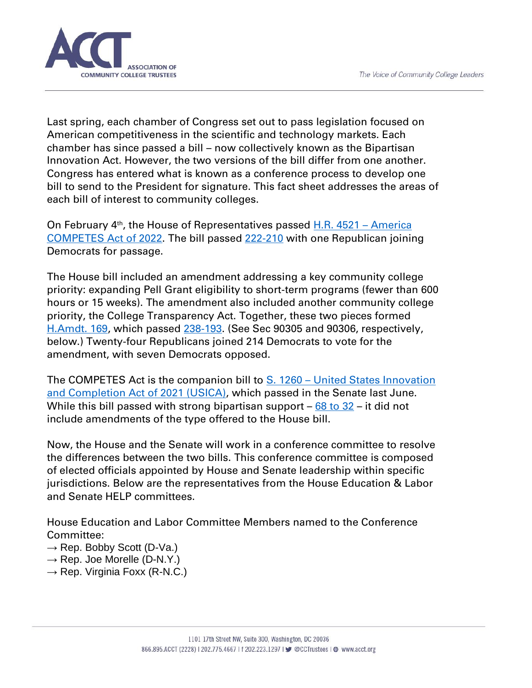

Last spring, each chamber of Congress set out to pass legislation focused on American competitiveness in the scientific and technology markets. Each chamber has since passed a bill – now collectively known as the Bipartisan Innovation Act. However, the two versions of the bill differ from one another. Congress has entered what is known as a conference process to develop one bill to send to the President for signature. This fact sheet addresses the areas of each bill of interest to community colleges.

On February 4<sup>th</sup>, the House of Representatives passed **H.R. 4521 - America** [COMPETES Act of 2022.](https://www.congress.gov/bill/117th-congress/house-bill/4521/text?r=2&s=4) The bill passed [222-210](https://clerk.house.gov/Votes/202231) with one Republican joining Democrats for passage.

The House bill included an amendment addressing a key community college priority: expanding Pell Grant eligibility to short-term programs (fewer than 600 hours or 15 weeks). The amendment also included another community college priority, the College Transparency Act. Together, these two pieces formed [H.Amdt. 169,](https://amendments-rules.house.gov/amendments/JTPELLAmd_001_xml_revised3220201163824357.pdf) which passed [238-193.](https://clerk.house.gov/Votes/202229) (See Sec 90305 and 90306, respectively, below.) Twenty-four Republicans joined 214 Democrats to vote for the amendment, with seven Democrats opposed.

The COMPETES Act is the companion bill to S. 1260 – [United States Innovation](https://www.congress.gov/bill/117th-congress/senate-bill/1260)  [and Completion Act of 2021 \(USICA\), which passed in the Senate last June.](https://www.congress.gov/bill/117th-congress/senate-bill/1260) While this bill passed with strong bipartisan support  $-68$  to  $32$  – it did not include amendments of the type offered to the House bill.

Now, the House and the Senate will work in a conference committee to resolve the differences between the two bills. This conference committee is composed of elected officials appointed by House and Senate leadership within specific jurisdictions. Below are the representatives from the House Education & Labor and Senate HELP committees.

House Education and Labor Committee Members named to the Conference Committee:

- $\rightarrow$  Rep. Bobby Scott (D-Va.)
- $\rightarrow$  Rep. Joe Morelle (D-N.Y.)
- $\rightarrow$  Rep. Virginia Foxx (R-N.C.)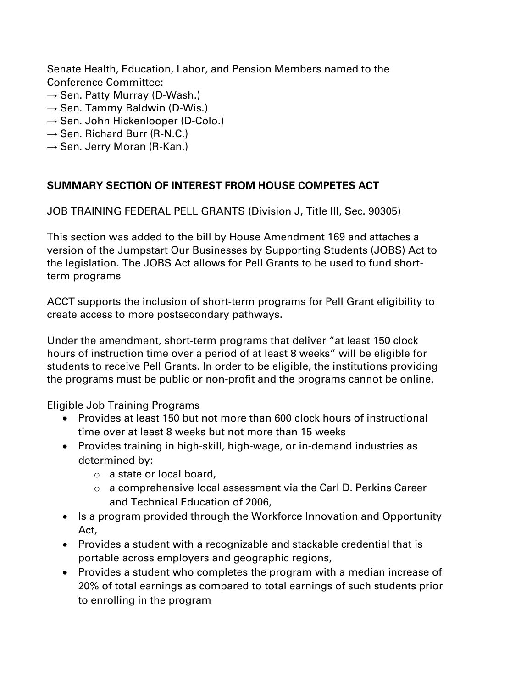Senate Health, Education, Labor, and Pension Members named to the Conference Committee:

- $\rightarrow$  Sen. Patty Murray (D-Wash.)
- $\rightarrow$  Sen. Tammy Baldwin (D-Wis.)
- $\rightarrow$  Sen. John Hickenlooper (D-Colo.)
- $\rightarrow$  Sen. Richard Burr (R-N.C.)
- $\rightarrow$  Sen. Jerry Moran (R-Kan.)

## **SUMMARY SECTION OF INTEREST FROM HOUSE COMPETES ACT**

#### JOB TRAINING FEDERAL PELL GRANTS (Division J, Title III, Sec. 90305)

This section was added to the bill by House Amendment 169 and attaches a version of the Jumpstart Our Businesses by Supporting Students (JOBS) Act to the legislation. The JOBS Act allows for Pell Grants to be used to fund shortterm programs

ACCT supports the inclusion of short-term programs for Pell Grant eligibility to create access to more postsecondary pathways.

Under the amendment, short-term programs that deliver "at least 150 clock hours of instruction time over a period of at least 8 weeks" will be eligible for students to receive Pell Grants. In order to be eligible, the institutions providing the programs must be public or non-profit and the programs cannot be online.

Eligible Job Training Programs

- Provides at least 150 but not more than 600 clock hours of instructional time over at least 8 weeks but not more than 15 weeks
- Provides training in high-skill, high-wage, or in-demand industries as determined by:
	- o a state or local board,
	- o a comprehensive local assessment via the Carl D. Perkins Career and Technical Education of 2006,
- Is a program provided through the Workforce Innovation and Opportunity Act,
- Provides a student with a recognizable and stackable credential that is portable across employers and geographic regions,
- Provides a student who completes the program with a median increase of 20% of total earnings as compared to total earnings of such students prior to enrolling in the program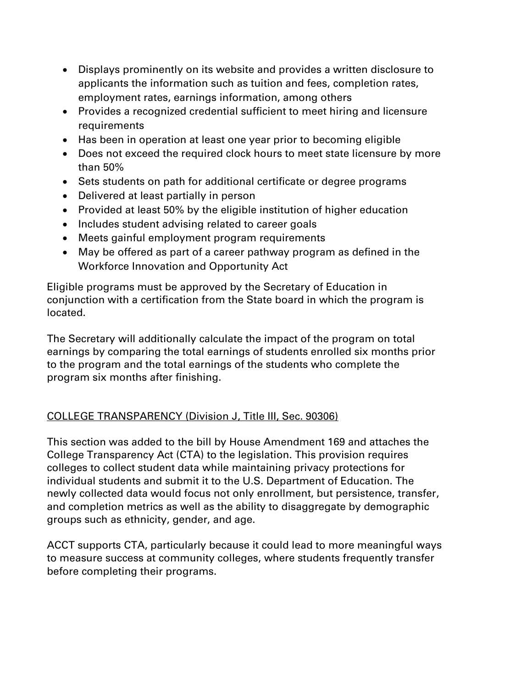- Displays prominently on its website and provides a written disclosure to applicants the information such as tuition and fees, completion rates, employment rates, earnings information, among others
- Provides a recognized credential sufficient to meet hiring and licensure requirements
- Has been in operation at least one year prior to becoming eligible
- Does not exceed the required clock hours to meet state licensure by more than 50%
- Sets students on path for additional certificate or degree programs
- Delivered at least partially in person
- Provided at least 50% by the eligible institution of higher education
- Includes student advising related to career goals
- Meets gainful employment program requirements
- May be offered as part of a career pathway program as defined in the Workforce Innovation and Opportunity Act

Eligible programs must be approved by the Secretary of Education in conjunction with a certification from the State board in which the program is located.

The Secretary will additionally calculate the impact of the program on total earnings by comparing the total earnings of students enrolled six months prior to the program and the total earnings of the students who complete the program six months after finishing.

# COLLEGE TRANSPARENCY (Division J, Title III, Sec. 90306)

This section was added to the bill by House Amendment 169 and attaches the College Transparency Act (CTA) to the legislation. This provision requires colleges to collect student data while maintaining privacy protections for individual students and submit it to the U.S. Department of Education. The newly collected data would focus not only enrollment, but persistence, transfer, and completion metrics as well as the ability to disaggregate by demographic groups such as ethnicity, gender, and age.

ACCT supports CTA, particularly because it could lead to more meaningful ways to measure success at community colleges, where students frequently transfer before completing their programs.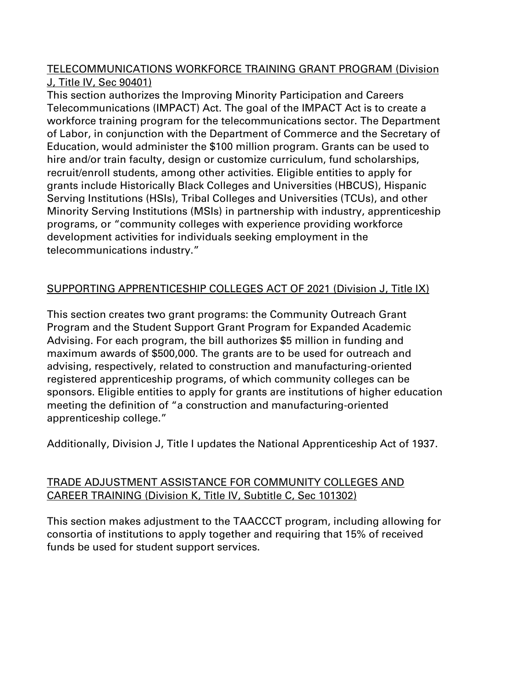#### TELECOMMUNICATIONS WORKFORCE TRAINING GRANT PROGRAM (Division J, Title IV, Sec 90401)

This section authorizes the Improving Minority Participation and Careers Telecommunications (IMPACT) Act. The goal of the IMPACT Act is to create a workforce training program for the telecommunications sector. The Department of Labor, in conjunction with the Department of Commerce and the Secretary of Education, would administer the \$100 million program. Grants can be used to hire and/or train faculty, design or customize curriculum, fund scholarships, recruit/enroll students, among other activities. Eligible entities to apply for grants include Historically Black Colleges and Universities (HBCUS), Hispanic Serving Institutions (HSIs), Tribal Colleges and Universities (TCUs), and other Minority Serving Institutions (MSIs) in partnership with industry, apprenticeship programs, or "community colleges with experience providing workforce development activities for individuals seeking employment in the telecommunications industry."

# SUPPORTING APPRENTICESHIP COLLEGES ACT OF 2021 (Division J, Title IX)

This section creates two grant programs: the Community Outreach Grant Program and the Student Support Grant Program for Expanded Academic Advising. For each program, the bill authorizes \$5 million in funding and maximum awards of \$500,000. The grants are to be used for outreach and advising, respectively, related to construction and manufacturing-oriented registered apprenticeship programs, of which community colleges can be sponsors. Eligible entities to apply for grants are institutions of higher education meeting the definition of "a construction and manufacturing-oriented apprenticeship college."

Additionally, Division J, Title I updates the National Apprenticeship Act of 1937.

## TRADE ADJUSTMENT ASSISTANCE FOR COMMUNITY COLLEGES AND CAREER TRAINING (Division K, Title IV, Subtitle C, Sec 101302)

This section makes adjustment to the TAACCCT program, including allowing for consortia of institutions to apply together and requiring that 15% of received funds be used for student support services.